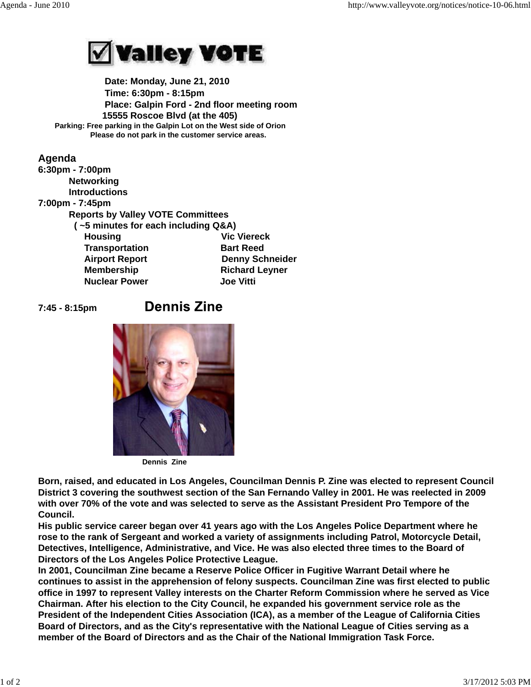

 **Date: Monday, June 21, 2010 Time: 6:30pm - 8:15pm Place: Galpin Ford - 2nd floor meeting room 15555 Roscoe Blvd (at the 405) Parking: Free parking in the Galpin Lot on the West side of Orion Please do not park in the customer service areas.**

## **Agenda 6:30pm - 7:00pm Networking Introductions 7:00pm - 7:45pm Reports by Valley VOTE Committees ( ~5 minutes for each including Q&A) Housing Construction Construction Construction Vic Viereck Transportation Bart Reed Airport Report Communist Denny Schneider Membership Richard Leyner Nuclear Power Joe Vitti**

**7:45 - 8:15pm** 

## **Dennis Zine**



**Dennis Zine**

**Born, raised, and educated in Los Angeles, Councilman Dennis P. Zine was elected to represent Council District 3 covering the southwest section of the San Fernando Valley in 2001. He was reelected in 2009 with over 70% of the vote and was selected to serve as the Assistant President Pro Tempore of the Council.**

**His public service career began over 41 years ago with the Los Angeles Police Department where he rose to the rank of Sergeant and worked a variety of assignments including Patrol, Motorcycle Detail, Detectives, Intelligence, Administrative, and Vice. He was also elected three times to the Board of Directors of the Los Angeles Police Protective League.**

**In 2001, Councilman Zine became a Reserve Police Officer in Fugitive Warrant Detail where he continues to assist in the apprehension of felony suspects. Councilman Zine was first elected to public office in 1997 to represent Valley interests on the Charter Reform Commission where he served as Vice Chairman. After his election to the City Council, he expanded his government service role as the President of the Independent Cities Association (ICA), as a member of the League of California Cities Board of Directors, and as the City's representative with the National League of Cities serving as a member of the Board of Directors and as the Chair of the National Immigration Task Force.**